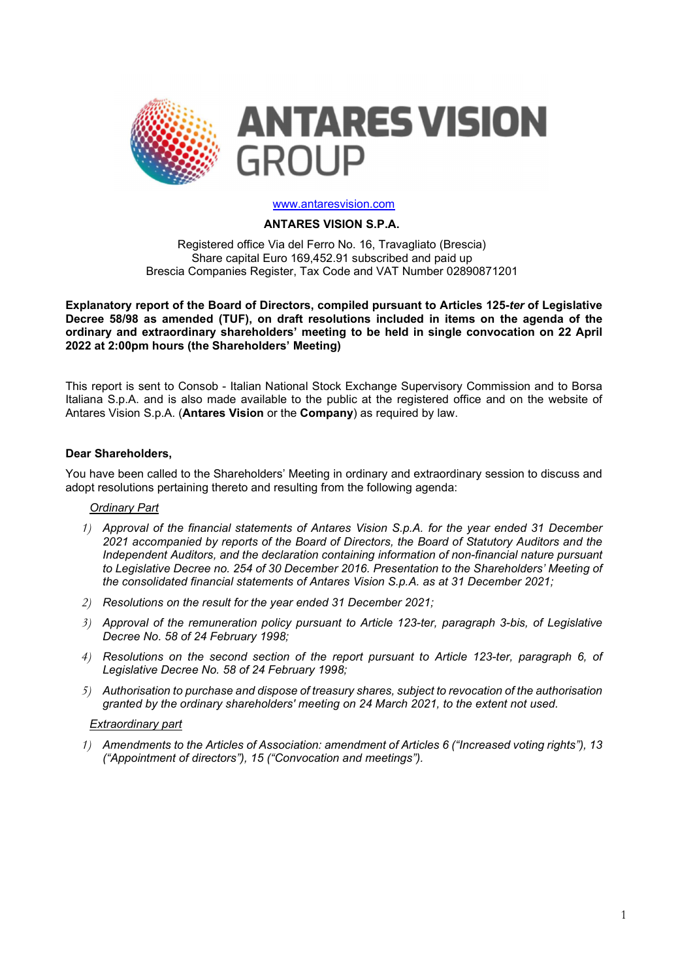

#### www.antaresvision.com

### ANTARES VISION S.P.A.

Registered office Via del Ferro No. 16, Travagliato (Brescia) Share capital Euro 169,452.91 subscribed and paid up Brescia Companies Register, Tax Code and VAT Number 02890871201

Explanatory report of the Board of Directors, compiled pursuant to Articles 125-ter of Legislative Decree 58/98 as amended (TUF), on draft resolutions included in items on the agenda of the ordinary and extraordinary shareholders' meeting to be held in single convocation on 22 April 2022 at 2:00pm hours (the Shareholders' Meeting)

This report is sent to Consob - Italian National Stock Exchange Supervisory Commission and to Borsa Italiana S.p.A. and is also made available to the public at the registered office and on the website of Antares Vision S.p.A. (Antares Vision or the Company) as required by law.

### Dear Shareholders,

You have been called to the Shareholders' Meeting in ordinary and extraordinary session to discuss and adopt resolutions pertaining thereto and resulting from the following agenda:

### Ordinary Part

- 1) Approval of the financial statements of Antares Vision S.p.A. for the year ended 31 December 2021 accompanied by reports of the Board of Directors, the Board of Statutory Auditors and the Independent Auditors, and the declaration containing information of non-financial nature pursuant to Legislative Decree no. 254 of 30 December 2016. Presentation to the Shareholders' Meeting of the consolidated financial statements of Antares Vision S.p.A. as at 31 December 2021;
- 2) Resolutions on the result for the year ended 31 December 2021;
- 3) Approval of the remuneration policy pursuant to Article 123-ter, paragraph 3-bis, of Legislative Decree No. 58 of 24 February 1998;
- 4) Resolutions on the second section of the report pursuant to Article 123-ter, paragraph 6, of Legislative Decree No. 58 of 24 February 1998;
- 5) Authorisation to purchase and dispose of treasury shares, subject to revocation of the authorisation granted by the ordinary shareholders' meeting on 24 March 2021, to the extent not used.

#### Extraordinary part

1) Amendments to the Articles of Association: amendment of Articles 6 ("Increased voting rights"), 13 ("Appointment of directors"), 15 ("Convocation and meetings").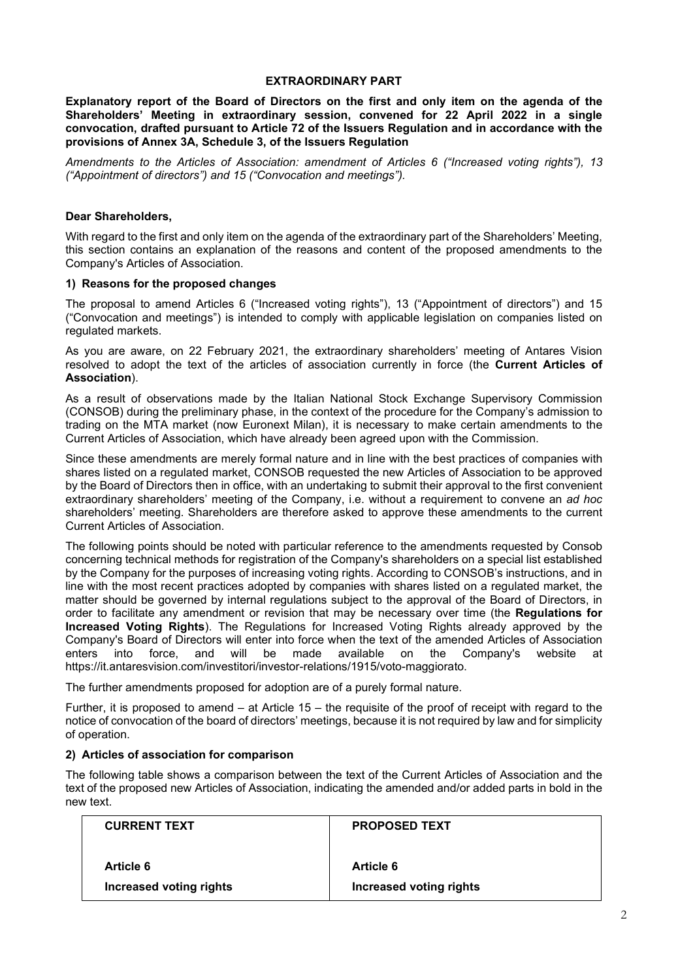### EXTRAORDINARY PART

Explanatory report of the Board of Directors on the first and only item on the agenda of the Shareholders' Meeting in extraordinary session, convened for 22 April 2022 in a single convocation, drafted pursuant to Article 72 of the Issuers Regulation and in accordance with the provisions of Annex 3A, Schedule 3, of the Issuers Regulation

Amendments to the Articles of Association: amendment of Articles 6 ("Increased voting rights"), 13 ("Appointment of directors") and 15 ("Convocation and meetings").

# Dear Shareholders,

With regard to the first and only item on the agenda of the extraordinary part of the Shareholders' Meeting, this section contains an explanation of the reasons and content of the proposed amendments to the Company's Articles of Association.

### 1) Reasons for the proposed changes

The proposal to amend Articles 6 ("Increased voting rights"), 13 ("Appointment of directors") and 15 ("Convocation and meetings") is intended to comply with applicable legislation on companies listed on regulated markets.

As you are aware, on 22 February 2021, the extraordinary shareholders' meeting of Antares Vision resolved to adopt the text of the articles of association currently in force (the Current Articles of Association).

As a result of observations made by the Italian National Stock Exchange Supervisory Commission (CONSOB) during the preliminary phase, in the context of the procedure for the Company's admission to trading on the MTA market (now Euronext Milan), it is necessary to make certain amendments to the Current Articles of Association, which have already been agreed upon with the Commission.

Since these amendments are merely formal nature and in line with the best practices of companies with shares listed on a regulated market, CONSOB requested the new Articles of Association to be approved by the Board of Directors then in office, with an undertaking to submit their approval to the first convenient extraordinary shareholders' meeting of the Company, i.e. without a requirement to convene an ad hoc shareholders' meeting. Shareholders are therefore asked to approve these amendments to the current Current Articles of Association.

The following points should be noted with particular reference to the amendments requested by Consob concerning technical methods for registration of the Company's shareholders on a special list established by the Company for the purposes of increasing voting rights. According to CONSOB's instructions, and in line with the most recent practices adopted by companies with shares listed on a regulated market, the matter should be governed by internal regulations subject to the approval of the Board of Directors, in order to facilitate any amendment or revision that may be necessary over time (the Regulations for Increased Voting Rights). The Regulations for Increased Voting Rights already approved by the Company's Board of Directors will enter into force when the text of the amended Articles of Association enters into force, and will be made available on the Company's website at https://it.antaresvision.com/investitori/investor-relations/1915/voto-maggiorato.

The further amendments proposed for adoption are of a purely formal nature.

Further, it is proposed to amend – at Article 15 – the requisite of the proof of receipt with regard to the notice of convocation of the board of directors' meetings, because it is not required by law and for simplicity of operation.

### 2) Articles of association for comparison

The following table shows a comparison between the text of the Current Articles of Association and the text of the proposed new Articles of Association, indicating the amended and/or added parts in bold in the new text.

| <b>CURRENT TEXT</b>     | <b>PROPOSED TEXT</b>    |
|-------------------------|-------------------------|
| Article 6               | <b>Article 6</b>        |
| Increased voting rights | Increased voting rights |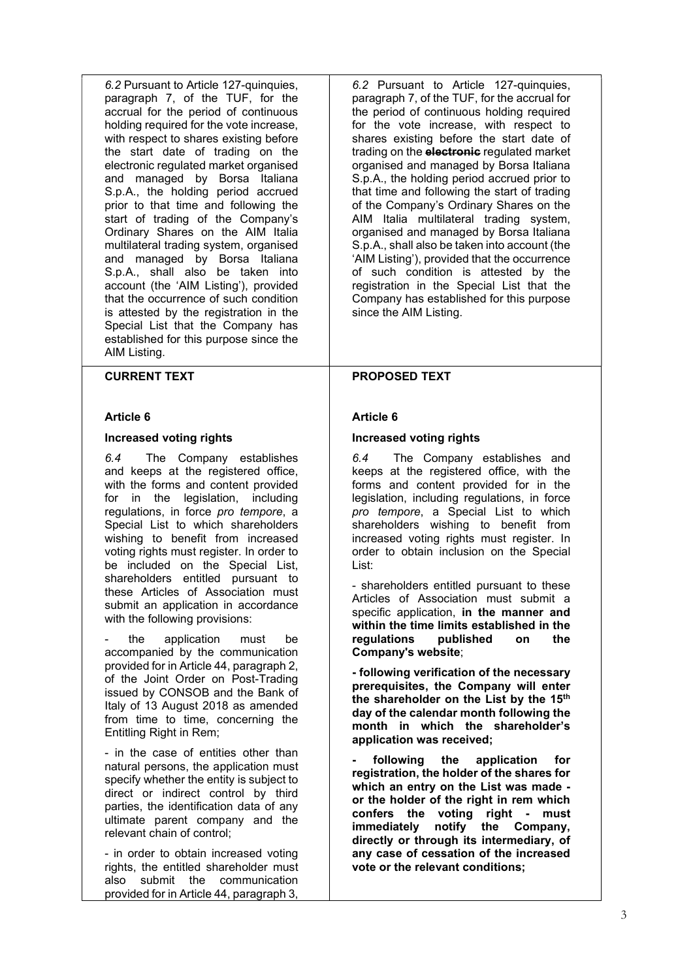6.2 Pursuant to Article 127-quinquies, paragraph 7, of the TUF, for the accrual for the period of continuous holding required for the vote increase, with respect to shares existing before the start date of trading on the electronic regulated market organised and managed by Borsa Italiana S.p.A., the holding period accrued prior to that time and following the start of trading of the Company's Ordinary Shares on the AIM Italia multilateral trading system, organised and managed by Borsa Italiana S.p.A., shall also be taken into account (the 'AIM Listing'), provided that the occurrence of such condition is attested by the registration in the Special List that the Company has established for this purpose since the AIM Listing.

# CURRENT TEXT

### Article 6

### Increased voting rights

6.4 The Company establishes and keeps at the registered office, with the forms and content provided for in the legislation, including regulations, in force pro tempore, a Special List to which shareholders wishing to benefit from increased voting rights must register. In order to be included on the Special List, shareholders entitled pursuant to these Articles of Association must submit an application in accordance with the following provisions:

the application must be accompanied by the communication provided for in Article 44, paragraph 2, of the Joint Order on Post-Trading issued by CONSOB and the Bank of Italy of 13 August 2018 as amended from time to time, concerning the Entitling Right in Rem;

- in the case of entities other than natural persons, the application must specify whether the entity is subject to direct or indirect control by third parties, the identification data of any ultimate parent company and the relevant chain of control;

- in order to obtain increased voting rights, the entitled shareholder must also submit the communication provided for in Article 44, paragraph 3,

6.2 Pursuant to Article 127-quinquies, paragraph 7, of the TUF, for the accrual for the period of continuous holding required for the vote increase, with respect to shares existing before the start date of trading on the **electronic** regulated market organised and managed by Borsa Italiana S.p.A., the holding period accrued prior to that time and following the start of trading of the Company's Ordinary Shares on the AIM Italia multilateral trading system, organised and managed by Borsa Italiana S.p.A., shall also be taken into account (the 'AIM Listing'), provided that the occurrence of such condition is attested by the registration in the Special List that the Company has established for this purpose since the AIM Listing.

# PROPOSED TEXT

# Article 6

# Increased voting rights

6.4 The Company establishes and keeps at the registered office, with the forms and content provided for in the legislation, including regulations, in force pro tempore, a Special List to which shareholders wishing to benefit from increased voting rights must register. In order to obtain inclusion on the Special List:

- shareholders entitled pursuant to these Articles of Association must submit a specific application, in the manner and within the time limits established in the regulations published on the Company's website;

- following verification of the necessary prerequisites, the Company will enter the shareholder on the List by the 15<sup>th</sup> day of the calendar month following the month in which the shareholder's application was received;

following the application for registration, the holder of the shares for which an entry on the List was made or the holder of the right in rem which confers the voting right - must immediately notify the Company, directly or through its intermediary, of any case of cessation of the increased vote or the relevant conditions;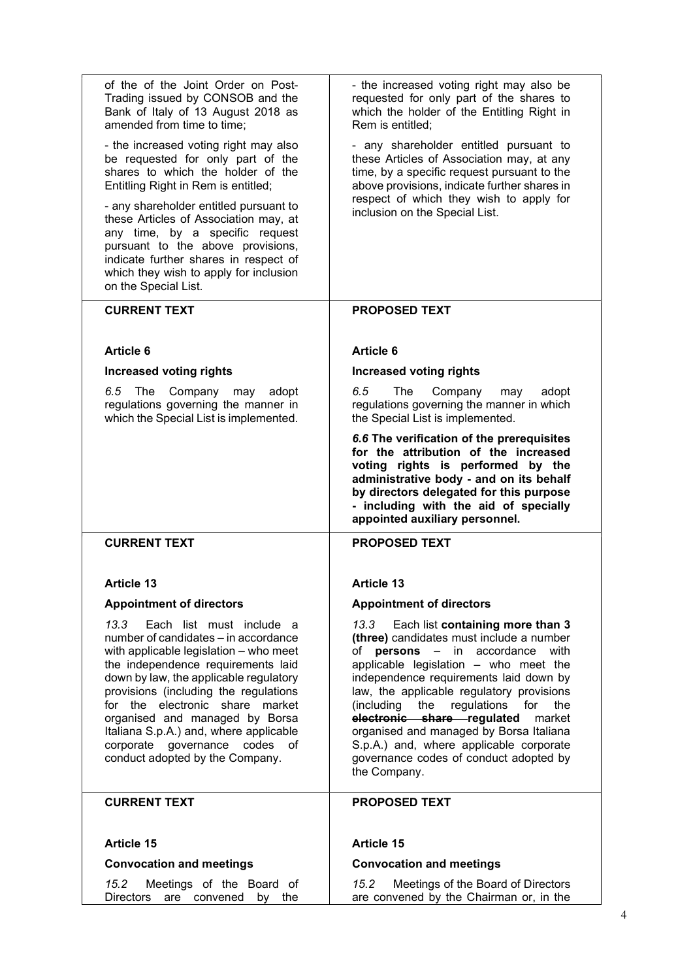| of the of the Joint Order on Post-<br>Trading issued by CONSOB and the<br>Bank of Italy of 13 August 2018 as<br>amended from time to time;                                                                                                                                                                                                                                                                                        | - the increased voting right may also be<br>requested for only part of the shares to<br>which the holder of the Entitling Right in<br>Rem is entitled;                                                                                                                                                                                                                                                                                                                                                                       |
|-----------------------------------------------------------------------------------------------------------------------------------------------------------------------------------------------------------------------------------------------------------------------------------------------------------------------------------------------------------------------------------------------------------------------------------|------------------------------------------------------------------------------------------------------------------------------------------------------------------------------------------------------------------------------------------------------------------------------------------------------------------------------------------------------------------------------------------------------------------------------------------------------------------------------------------------------------------------------|
| - the increased voting right may also<br>be requested for only part of the<br>shares to which the holder of the<br>Entitling Right in Rem is entitled;<br>- any shareholder entitled pursuant to<br>these Articles of Association may, at<br>any time, by a specific request<br>pursuant to the above provisions,<br>indicate further shares in respect of<br>which they wish to apply for inclusion<br>on the Special List.      | - any shareholder entitled pursuant to<br>these Articles of Association may, at any<br>time, by a specific request pursuant to the<br>above provisions, indicate further shares in<br>respect of which they wish to apply for<br>inclusion on the Special List.                                                                                                                                                                                                                                                              |
| <b>CURRENT TEXT</b>                                                                                                                                                                                                                                                                                                                                                                                                               | <b>PROPOSED TEXT</b>                                                                                                                                                                                                                                                                                                                                                                                                                                                                                                         |
|                                                                                                                                                                                                                                                                                                                                                                                                                                   |                                                                                                                                                                                                                                                                                                                                                                                                                                                                                                                              |
| <b>Article 6</b>                                                                                                                                                                                                                                                                                                                                                                                                                  | Article 6                                                                                                                                                                                                                                                                                                                                                                                                                                                                                                                    |
| <b>Increased voting rights</b>                                                                                                                                                                                                                                                                                                                                                                                                    | <b>Increased voting rights</b>                                                                                                                                                                                                                                                                                                                                                                                                                                                                                               |
| 6.5<br>The<br>Company may adopt<br>regulations governing the manner in<br>which the Special List is implemented.                                                                                                                                                                                                                                                                                                                  | 6.5<br>The<br>Company<br>adopt<br>may<br>regulations governing the manner in which<br>the Special List is implemented.                                                                                                                                                                                                                                                                                                                                                                                                       |
|                                                                                                                                                                                                                                                                                                                                                                                                                                   | 6.6 The verification of the prerequisites<br>for the attribution of the increased<br>voting rights is performed by the<br>administrative body - and on its behalf<br>by directors delegated for this purpose<br>- including with the aid of specially<br>appointed auxiliary personnel.                                                                                                                                                                                                                                      |
| <b>CURRENT TEXT</b>                                                                                                                                                                                                                                                                                                                                                                                                               | <b>PROPOSED TEXT</b>                                                                                                                                                                                                                                                                                                                                                                                                                                                                                                         |
| <b>Article 13</b>                                                                                                                                                                                                                                                                                                                                                                                                                 | <b>Article 13</b>                                                                                                                                                                                                                                                                                                                                                                                                                                                                                                            |
| <b>Appointment of directors</b>                                                                                                                                                                                                                                                                                                                                                                                                   | <b>Appointment of directors</b>                                                                                                                                                                                                                                                                                                                                                                                                                                                                                              |
| 13.3<br>Each list must include a<br>number of candidates – in accordance<br>with applicable legislation - who meet<br>the independence requirements laid<br>down by law, the applicable regulatory<br>provisions (including the regulations<br>for the electronic share market<br>organised and managed by Borsa<br>Italiana S.p.A.) and, where applicable<br>corporate governance<br>codes of<br>conduct adopted by the Company. | Each list containing more than 3<br>13.3<br>(three) candidates must include a number<br>persons<br>$\frac{1}{2}$<br>accordance<br>of<br>in<br>with<br>applicable legislation - who meet the<br>independence requirements laid down by<br>law, the applicable regulatory provisions<br>the<br>regulations<br>(including<br>for<br>the<br>electronic share regulated<br>market<br>organised and managed by Borsa Italiana<br>S.p.A.) and, where applicable corporate<br>governance codes of conduct adopted by<br>the Company. |
| <b>CURRENT TEXT</b>                                                                                                                                                                                                                                                                                                                                                                                                               | <b>PROPOSED TEXT</b>                                                                                                                                                                                                                                                                                                                                                                                                                                                                                                         |
| <b>Article 15</b>                                                                                                                                                                                                                                                                                                                                                                                                                 | <b>Article 15</b>                                                                                                                                                                                                                                                                                                                                                                                                                                                                                                            |
| <b>Convocation and meetings</b>                                                                                                                                                                                                                                                                                                                                                                                                   | <b>Convocation and meetings</b>                                                                                                                                                                                                                                                                                                                                                                                                                                                                                              |
| Meetings of the Board of<br>15.2<br>are convened<br>Directors<br>by the                                                                                                                                                                                                                                                                                                                                                           | Meetings of the Board of Directors<br>15.2<br>are convened by the Chairman or, in the                                                                                                                                                                                                                                                                                                                                                                                                                                        |